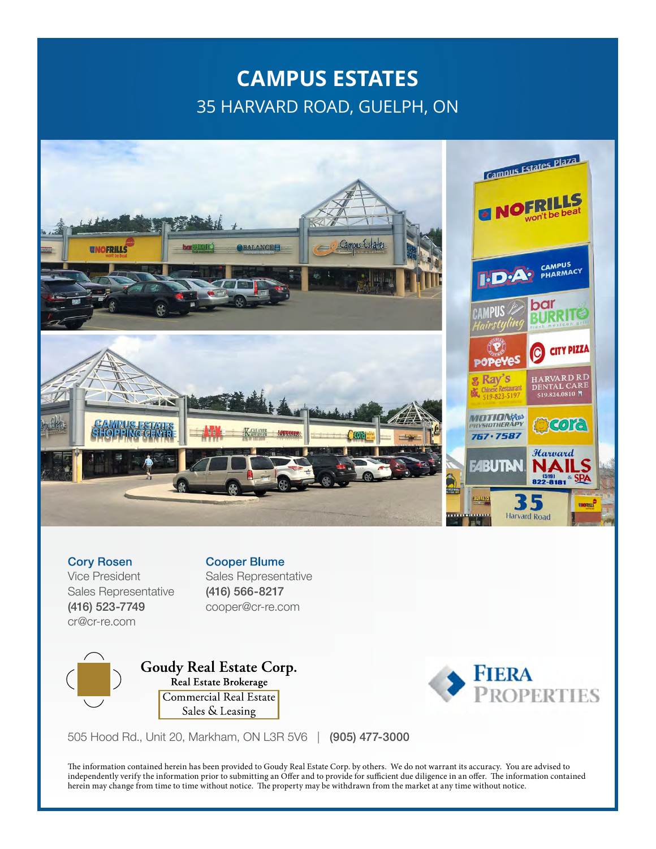## **CAMPUS ESTATES** 35 HARVARD ROAD, GUELPH, ON



Cory Rosen Vice President Sales Representative (416) 523-7749 cr@cr-re.com

Cooper Blume Sales Representative (416) 566-8217 cooper@cr-re.com



Goudy Real Estate Corp. Real Estate Brokerage Commercial Real Estate Sales & Leasing



505 Hood Rd., Unit 20, Markham, ON L3R 5V6 | (905) 477-3000

The information contained herein has been provided to Goudy Real Estate Corp. by others. We do not warrant its accuracy. You are advised to independently verify the information prior to submitting an Offer and to provide for sufficient due diligence in an offer. The information contained herein may change from time to time without notice. The property may be withdrawn from the market at any time without notice.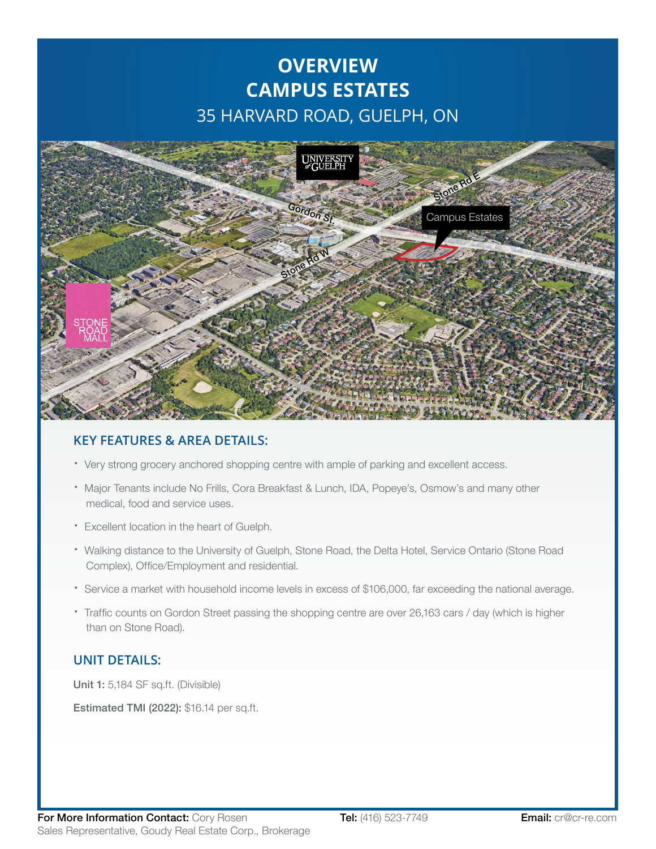# **OVERVIEW CAMPUS ESTATES** 35 HARVARD ROAD, GUELPH, ON



#### **KEY FEATURES & AREA DETAILS:**

- · Very strong grocery anchored shopping centre with ample of parking and excellent access.
- · Major Tenants include No Frills, Cora Breakfast & Lunch, IDA, Popeye's, Osmow's and many other medical, food and service uses.
- · Excellent location in the heart of Guelph.
- · Walking distance to the University of Guelph, Stone Road, the Delta Hotel, Service Ontario (Stone Road Complex), Office/Employment and residential.
- · Service a market with household income levels in excess of \$106,000, far exceeding the national average.
- · Traffic counts on Gordon Street passing the shopping centre are over 26,163 cars / day (which is higher than on Stone Road).

#### **UNIT DETAILS:**

Unit 1: 5,184 SF sq.ft. (Divisible)

Estimated TMI (2022): \$16.14 per sq.ft.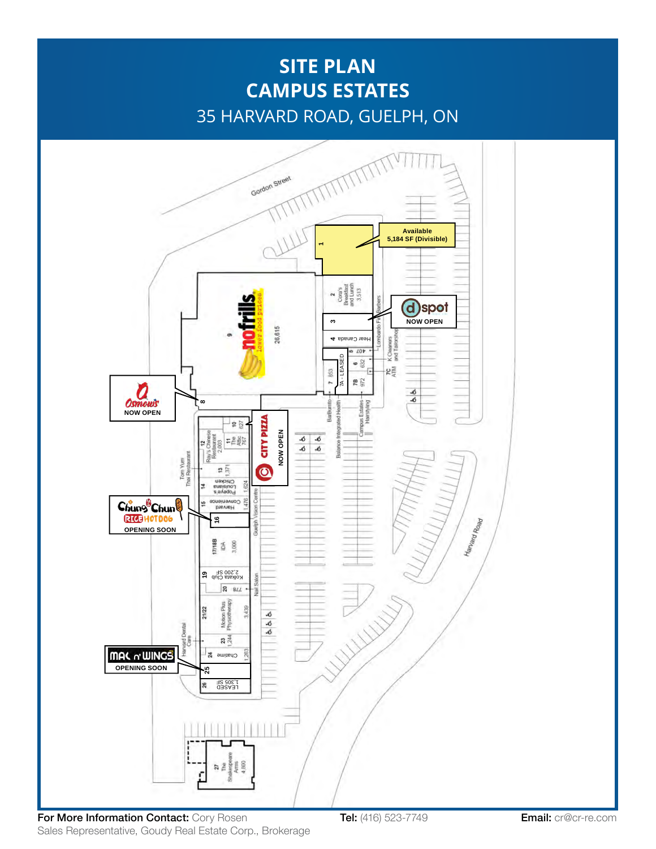## **SITE PLAN CAMPUS ESTATES** 35 HARVARD ROAD, GUELPH, ON



For More Information Contact: Cory Rosen Tel: (416) 523-7749 **Email:** cr@cr-re.com Sales Representative, Goudy Real Estate Corp., Brokerage